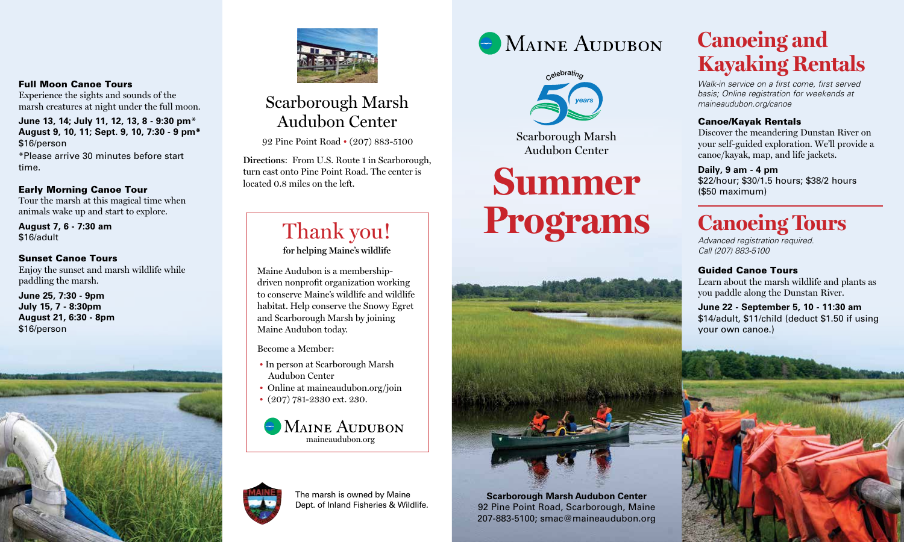#### Full Moon Canoe Tours

Experience the sights and sounds of the marsh creatures at night under the full moon.

**June 13, 14; July 11, 12, 13, 8 - 9:30 pm**\* **August 9, 10, 11; Sept. 9, 10, 7:30 - 9 pm\*** \$16/person \*Please arrive 30 minutes before start time.

#### Early Morning Canoe Tour

Tour the marsh at this magical time when animals wake up and start to explore.

**August 7, 6 - 7:30 am**  \$16/adult

#### Sunset Canoe Tours

Enjoy the sunset and marsh wildlife while paddling the marsh.

**June 25, 7:30 - 9pm July 15, 7 - 8:30pm August 21, 6:30 - 8pm** \$16/person





### Scarborough Marsh Audubon Center

92 Pine Point Road • (207) 883-5100

**Directions**: From U.S. Route 1 in Scarborough, turn east onto Pine Point Road. The center is located 0.8 miles on the left.

### Thank you! **for helping Maine's wildlife**

Maine Audubon is a membershipdriven nonprofit organization working to conserve Maine's wildlife and wildlife habitat. Help conserve the Snowy Egret and Scarborough Marsh by joining Maine Audubon today.

Become a Member:

- In person at Scarborough Marsh Audubon Center
- Online at maineaudubon.org/join
- (207) 781-2330 ext. 230.





The marsh is owned by Maine Dept. of Inland Fisheries & Wildlife.





# **Summer Programs**



92 Pine Point Road, Scarborough, Maine 207-883-5100; smac@maineaudubon.org

### **Canoeing and Kayaking Rentals**

*Walk-in service on a first come, first served basis; Online registration for weekends at maineaudubon.org/canoe*

#### Canoe/Kayak Rentals

Discover the meandering Dunstan River on your self-guided exploration. We'll provide a canoe/kayak, map, and life jackets.

#### **Daily, 9 am - 4 pm**

\$22/hour; \$30/1.5 hours; \$38/2 hours (\$50 maximum)

## **Canoeing Tours**

*Advanced registration required. Call (207) 883-5100*

#### Guided Canoe Tours

Learn about the marsh wildlife and plants as you paddle along the Dunstan River.

**June 22 - September 5, 10 - 11:30 am** \$14/adult, \$11/child (deduct \$1.50 if using your own canoe.)